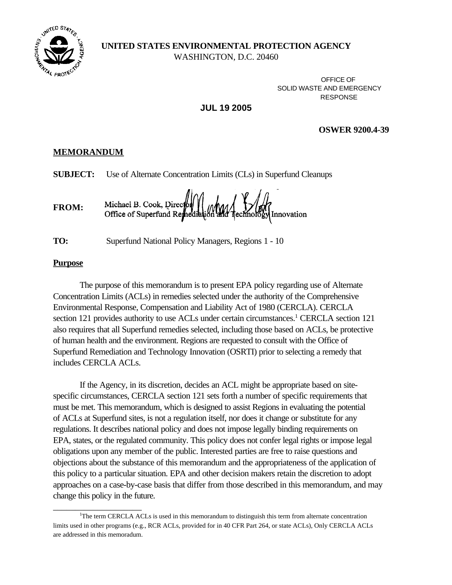

## **UNITED STATES ENVIRONMENTAL PROTECTION AGENCY**

WASHINGTON, D.C. 20460

OFFICE OF SOLID WASTE AND EMERGENCY RESPONSE

# **JUL 19 2005**

#### **OSWER 9200.4-39**

## **MEMORANDUM**

**SUBJECT:** Use of Alternate Concentration Limits (CLs) in Superfund Cleanups

Michael B. Cook, Director | |<br>Office of Superfund Remediation **FROM:**  Innovation

**TO:** Superfund National Policy Managers, Regions 1 - 10

## **Purpose**

\_\_\_\_\_\_\_\_\_\_\_\_\_\_\_\_\_\_\_\_

The purpose of this memorandum is to present EPA policy regarding use of Alternate Concentration Limits (ACLs) in remedies selected under the authority of the Comprehensive Environmental Response, Compensation and Liability Act of 1980 (CERCLA). CERCLA section 121 provides authority to use ACLs under certain circumstances.<sup>1</sup> CERCLA section 121 also requires that all Superfund remedies selected, including those based on ACLs, be protective of human health and the environment. Regions are requested to consult with the Office of Superfund Remediation and Technology Innovation (OSRTI) prior to selecting a remedy that includes CERCLA ACLs.

If the Agency, in its discretion, decides an ACL might be appropriate based on sitespecific circumstances, CERCLA section 121 sets forth a number of specific requirements that must be met. This memorandum, which is designed to assist Regions in evaluating the potential of ACLs at Superfund sites, is not a regulation itself, nor does it change or substitute for any regulations. It describes national policy and does not impose legally binding requirements on EPA, states, or the regulated community. This policy does not confer legal rights or impose legal obligations upon any member of the public. Interested parties are free to raise questions and objections about the substance of this memorandum and the appropriateness of the application of this policy to a particular situation. EPA and other decision makers retain the discretion to adopt approaches on a case-by-case basis that differ from those described in this memorandum, and may change this policy in the future.

<sup>&</sup>lt;sup>1</sup>The term CERCLA ACLs is used in this memorandum to distinguish this term from alternate concentration limits used in other programs (e.g., RCR ACLs, provided for in 40 CFR Part 264, or state ACLs), Only CERCLA ACLs are addressed in this memoradum.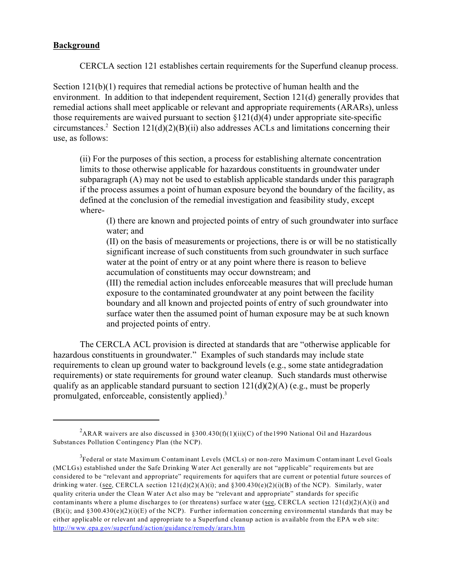#### **Background**

CERCLA section 121 establishes certain requirements for the Superfund cleanup process.

Section 121(b)(1) requires that remedial actions be protective of human health and the environment. In addition to that independent requirement, Section 121(d) generally provides that remedial actions shall meet applicable or relevant and appropriate requirements (ARARs), unless those requirements are waived pursuant to section  $\S 121(d)(4)$  under appropriate site-specific circumstances.<sup>2</sup> Section  $121(d)(2)(B)(ii)$  also addresses ACLs and limitations concerning their use, as follows:

(ii) For the purposes of this section, a process for establishing alternate concentration limits to those otherwise applicable for hazardous constituents in groundwater under subparagraph (A) may not be used to establish applicable standards under this paragraph if the process assumes a point of human exposure beyond the boundary of the facility, as defined at the conclusion of the remedial investigation and feasibility study, except where-

(I) there are known and projected points of entry of such groundwater into surface water; and

(II) on the basis of measurements or projections, there is or will be no statistically significant increase of such constituents from such groundwater in such surface water at the point of entry or at any point where there is reason to believe accumulation of constituents may occur downstream; and

(III) the remedial action includes enforceable measures that will preclude human exposure to the contaminated groundwater at any point between the facility boundary and all known and projected points of entry of such groundwater into surface water then the assumed point of human exposure may be at such known and projected points of entry.

The CERCLA ACL provision is directed at standards that are "otherwise applicable for hazardous constituents in groundwater." Examples of such standards may include state requirements to clean up ground water to background levels (e.g., some state antidegradation requirements) or state requirements for ground water cleanup. Such standards must otherwise qualify as an applicable standard pursuant to section  $121(d)(2)(A)$  (e.g., must be properly promulgated, enforceable, consistently applied).<sup>3</sup>

<sup>&</sup>lt;sup>2</sup>ARAR waivers are also discussed in §300.430(f)(1)(ii)(C) of the 1990 National Oil and Hazardous Substances Pollution Contingency Plan (the NCP).

 $^3$ Federal or state Maximum Contaminant Levels (MCLs) or non-zero Maximum Contaminant Level Goals (MCLGs) established under the Safe Drinking W ater Act generally are not "applicable" requirements but are considered to be "relevant and appropriate" requirements for aquifers that are current or potential future sources of drinking water. (see, CERCLA section  $121(d)(2)(A)(i)$ ; and  $§300.430(e)(2)(i)(B)$  of the NCP). Similarly, water quality criteria under the Clean Water Act also may be "relevant and appropriate" standards for specific contaminants where a plume discharges to (or threatens) surface water (see, CERCLA section  $121(d)(2)(A)(i)$  and  $(B)(i)$ ; and §300.430(e)(2)(i)(E) of the NCP). Further information concerning environmental standards that may be either applicable or relevant and appropriate to a Superfund cleanup action is available from the EPA web site: [http://w ww .epa.g ov/su perfund/ac tion/gu idanc e/rem edy/arars.htm](http://www.epa.gov/superfund/action/guidance/remedy/arars.htm)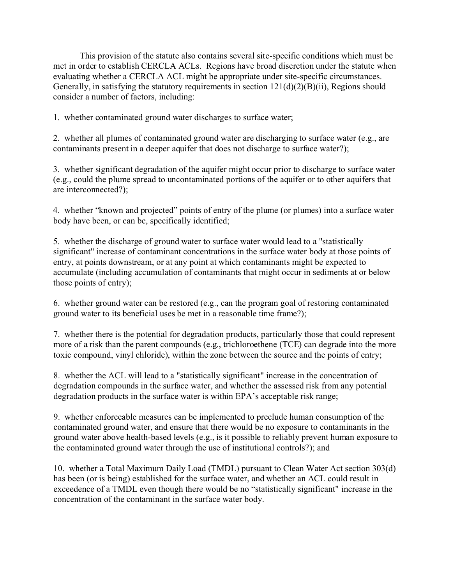This provision of the statute also contains several site-specific conditions which must be met in order to establish CERCLA ACLs. Regions have broad discretion under the statute when evaluating whether a CERCLA ACL might be appropriate under site-specific circumstances. Generally, in satisfying the statutory requirements in section  $121(d)(2)(B)(ii)$ , Regions should consider a number of factors, including:

1. whether contaminated ground water discharges to surface water;

2. whether all plumes of contaminated ground water are discharging to surface water (e.g., are contaminants present in a deeper aquifer that does not discharge to surface water?);

3. whether significant degradation of the aquifer might occur prior to discharge to surface water (e.g., could the plume spread to uncontaminated portions of the aquifer or to other aquifers that are interconnected?);

4. whether "known and projected" points of entry of the plume (or plumes) into a surface water body have been, or can be, specifically identified;

5. whether the discharge of ground water to surface water would lead to a "statistically significant" increase of contaminant concentrations in the surface water body at those points of entry, at points downstream, or at any point at which contaminants might be expected to accumulate (including accumulation of contaminants that might occur in sediments at or below those points of entry);

6. whether ground water can be restored (e.g., can the program goal of restoring contaminated ground water to its beneficial uses be met in a reasonable time frame?);

7. whether there is the potential for degradation products, particularly those that could represent more of a risk than the parent compounds (e.g., trichloroethene (TCE) can degrade into the more toxic compound, vinyl chloride), within the zone between the source and the points of entry;

8. whether the ACL will lead to a "statistically significant" increase in the concentration of degradation compounds in the surface water, and whether the assessed risk from any potential degradation products in the surface water is within EPA's acceptable risk range;

9. whether enforceable measures can be implemented to preclude human consumption of the contaminated ground water, and ensure that there would be no exposure to contaminants in the ground water above health-based levels (e.g., is it possible to reliably prevent human exposure to the contaminated ground water through the use of institutional controls?); and

10. whether a Total Maximum Daily Load (TMDL) pursuant to Clean Water Act section 303(d) has been (or is being) established for the surface water, and whether an ACL could result in exceedence of a TMDL even though there would be no "statistically significant" increase in the concentration of the contaminant in the surface water body.